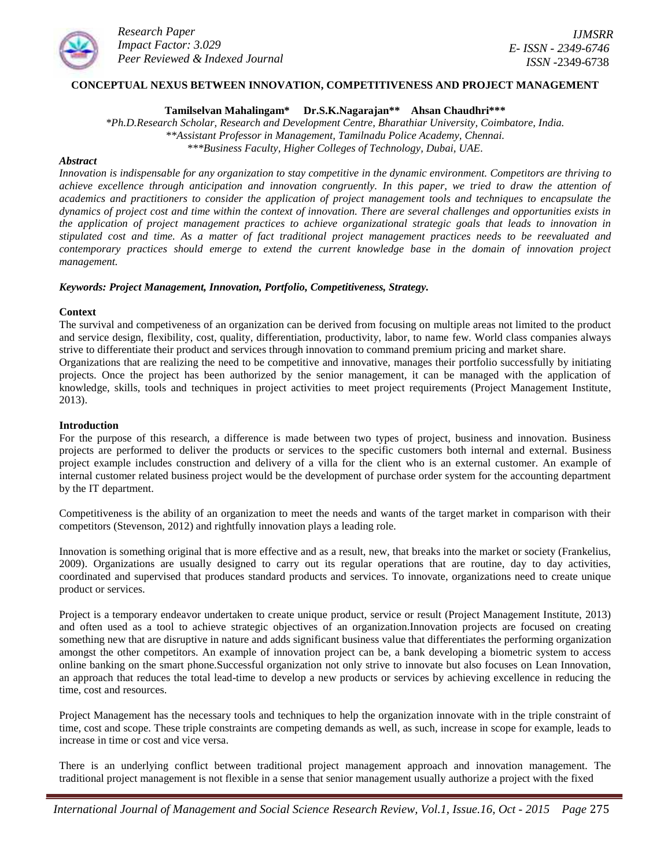

## **CONCEPTUAL NEXUS BETWEEN INNOVATION, COMPETITIVENESS AND PROJECT MANAGEMENT**

**Tamilselvan Mahalingam\* Dr.S.K.Nagarajan\*\* Ahsan Chaudhri\*\*\***

*\*Ph.D.Research Scholar, Research and Development Centre, Bharathiar University, Coimbatore, India. \*\*Assistant Professor in Management, Tamilnadu Police Academy, Chennai. \*\*\*Business Faculty, Higher Colleges of Technology, Dubai, UAE.*

### *Abstract*

*Innovation is indispensable for any organization to stay competitive in the dynamic environment. Competitors are thriving to achieve excellence through anticipation and innovation congruently. In this paper, we tried to draw the attention of academics and practitioners to consider the application of project management tools and techniques to encapsulate the dynamics of project cost and time within the context of innovation. There are several challenges and opportunities exists in the application of project management practices to achieve organizational strategic goals that leads to innovation in stipulated cost and time. As a matter of fact traditional project management practices needs to be reevaluated and contemporary practices should emerge to extend the current knowledge base in the domain of innovation project management.*

#### *Keywords: Project Management, Innovation, Portfolio, Competitiveness, Strategy.*

#### **Context**

The survival and competiveness of an organization can be derived from focusing on multiple areas not limited to the product and service design, flexibility, cost, quality, differentiation, productivity, labor, to name few. World class companies always strive to differentiate their product and services through innovation to command premium pricing and market share. Organizations that are realizing the need to be competitive and innovative, manages their portfolio successfully by initiating projects. Once the project has been authorized by the senior management, it can be managed with the application of knowledge, skills, tools and techniques in project activities to meet project requirements (Project Management Institute, 2013).

#### **Introduction**

For the purpose of this research, a difference is made between two types of project, business and innovation. Business projects are performed to deliver the products or services to the specific customers both internal and external. Business project example includes construction and delivery of a villa for the client who is an external customer. An example of internal customer related business project would be the development of purchase order system for the accounting department by the IT department.

Competitiveness is the ability of an organization to meet the needs and wants of the target market in comparison with their competitors (Stevenson, 2012) and rightfully innovation plays a leading role.

Innovation is something original that is more effective and as a result, new, that breaks into the market or society (Frankelius, 2009). Organizations are usually designed to carry out its regular operations that are routine, day to day activities, coordinated and supervised that produces standard products and services. To innovate, organizations need to create unique product or services.

Project is a temporary endeavor undertaken to create unique product, service or result (Project Management Institute, 2013) and often used as a tool to achieve strategic objectives of an organization.Innovation projects are focused on creating something new that are disruptive in nature and adds significant business value that differentiates the performing organization amongst the other competitors. An example of innovation project can be, a bank developing a biometric system to access online banking on the smart phone.Successful organization not only strive to innovate but also focuses on Lean Innovation, an approach that reduces the total lead-time to develop a new products or services by achieving excellence in reducing the time, cost and resources.

Project Management has the necessary tools and techniques to help the organization innovate with in the triple constraint of time, cost and scope. These triple constraints are competing demands as well, as such, increase in scope for example, leads to increase in time or cost and vice versa.

There is an underlying conflict between traditional project management approach and innovation management. The traditional project management is not flexible in a sense that senior management usually authorize a project with the fixed

*International Journal of Management and Social Science Research Review, Vol.1, Issue.16, Oct - 2015 Page* 275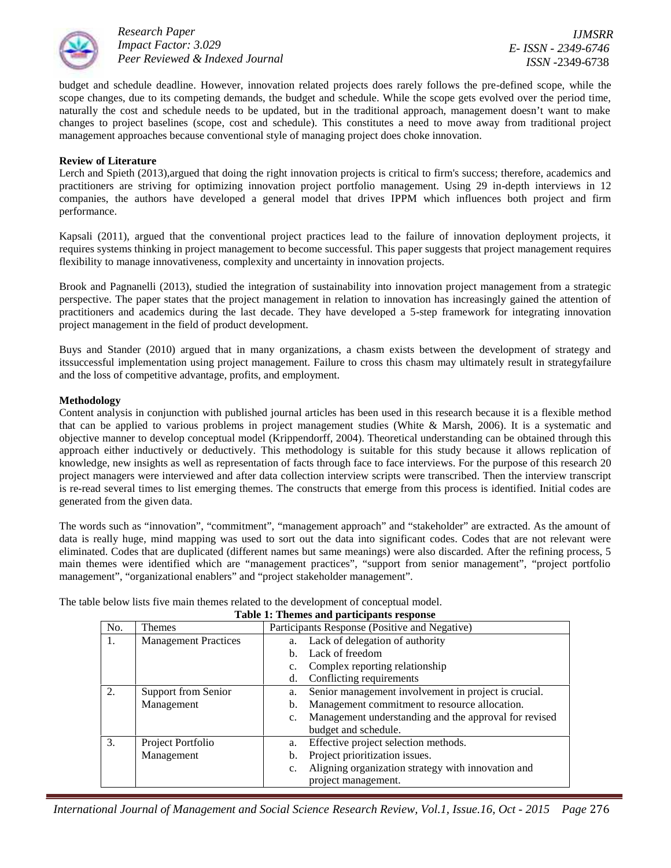

*IJMSRR E- ISSN - 2349-6746 ISSN -*2349-6738

budget and schedule deadline. However, innovation related projects does rarely follows the pre-defined scope, while the scope changes, due to its competing demands, the budget and schedule. While the scope gets evolved over the period time, naturally the cost and schedule needs to be updated, but in the traditional approach, management doesn't want to make changes to project baselines (scope, cost and schedule). This constitutes a need to move away from traditional project management approaches because conventional style of managing project does choke innovation.

## **Review of Literature**

Lerch and Spieth (2013), argued that doing the right innovation projects is critical to firm's success; therefore, academics and practitioners are striving for optimizing innovation project portfolio management. Using 29 in-depth interviews in 12 companies, the authors have developed a general model that drives IPPM which influences both project and firm performance.

Kapsali (2011), argued that the conventional project practices lead to the failure of innovation deployment projects, it requires systems thinking in project management to become successful. This paper suggests that project management requires flexibility to manage innovativeness, complexity and uncertainty in innovation projects.

Brook and Pagnanelli (2013), studied the integration of sustainability into innovation project management from a strategic perspective. The paper states that the project management in relation to innovation has increasingly gained the attention of practitioners and academics during the last decade. They have developed a 5-step framework for integrating innovation project management in the field of product development.

Buys and Stander (2010) argued that in many organizations, a chasm exists between the development of strategy and itssuccessful implementation using project management. Failure to cross this chasm may ultimately result in strategyfailure and the loss of competitive advantage, profits, and employment.

## **Methodology**

Content analysis in conjunction with published journal articles has been used in this research because it is a flexible method that can be applied to various problems in project management studies (White & Marsh, 2006). It is a systematic and objective manner to develop conceptual model (Krippendorff, 2004). Theoretical understanding can be obtained through this approach either inductively or deductively. This methodology is suitable for this study because it allows replication of knowledge, new insights as well as representation of facts through face to face interviews. For the purpose of this research 20 project managers were interviewed and after data collection interview scripts were transcribed. Then the interview transcript is re-read several times to list emerging themes. The constructs that emerge from this process is identified. Initial codes are generated from the given data.

The words such as "innovation", "commitment", "management approach" and "stakeholder" are extracted. As the amount of data is really huge, mind mapping was used to sort out the data into significant codes. Codes that are not relevant were eliminated. Codes that are duplicated (different names but same meanings) were also discarded. After the refining process, 5 main themes were identified which are "management practices", "support from senior management", "project portfolio management", "organizational enablers" and "project stakeholder management".

The table below lists five main themes related to the development of conceptual model.

| Table 1. Themes and participants response |                             |                                                            |  |  |  |
|-------------------------------------------|-----------------------------|------------------------------------------------------------|--|--|--|
| No.                                       | <b>Themes</b>               | Participants Response (Positive and Negative)              |  |  |  |
| 1.                                        | <b>Management Practices</b> | Lack of delegation of authority<br>a.                      |  |  |  |
|                                           |                             | Lack of freedom<br>b.                                      |  |  |  |
|                                           |                             | Complex reporting relationship                             |  |  |  |
|                                           |                             | Conflicting requirements<br>d.                             |  |  |  |
| 2.                                        | Support from Senior         | Senior management involvement in project is crucial.<br>a. |  |  |  |
|                                           | Management                  | Management commitment to resource allocation.<br>b.        |  |  |  |
|                                           |                             | Management understanding and the approval for revised      |  |  |  |
|                                           |                             | budget and schedule.                                       |  |  |  |
| 3.                                        | Project Portfolio           | Effective project selection methods.<br>a.                 |  |  |  |
|                                           | Management                  | Project prioritization issues.<br>b.                       |  |  |  |
|                                           |                             | Aligning organization strategy with innovation and         |  |  |  |
|                                           |                             | project management.                                        |  |  |  |

**Table 1: Themes and participants response**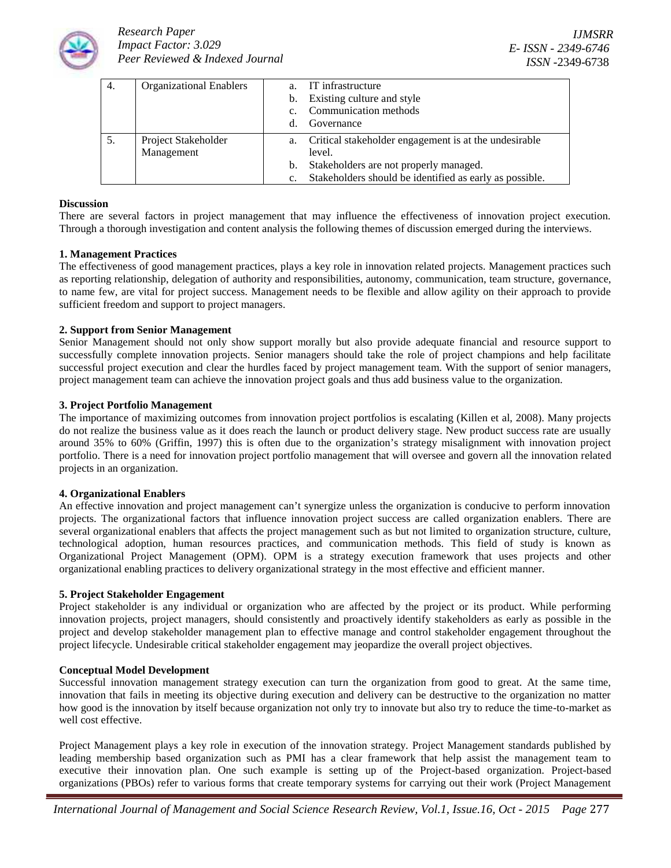

| 4. | <b>Organizational Enablers</b> |             | IT infrastructure                                        |
|----|--------------------------------|-------------|----------------------------------------------------------|
|    |                                | b.          | Existing culture and style                               |
|    |                                | $c_{\cdot}$ | Communication methods                                    |
|    |                                | d.          | Governance                                               |
|    | Project Stakeholder            |             | a. Critical stakeholder engagement is at the undesirable |
|    | Management                     |             | level.                                                   |
|    |                                | b.          | Stakeholders are not properly managed.                   |
|    |                                | c.          | Stakeholders should be identified as early as possible.  |

### **Discussion**

There are several factors in project management that may influence the effectiveness of innovation project execution. Through a thorough investigation and content analysis the following themes of discussion emerged during the interviews.

# **1. Management Practices**

The effectiveness of good management practices, plays a key role in innovation related projects. Management practices such as reporting relationship, delegation of authority and responsibilities, autonomy, communication, team structure, governance, to name few, are vital for project success. Management needs to be flexible and allow agility on their approach to provide sufficient freedom and support to project managers.

## **2. Support from Senior Management**

Senior Management should not only show support morally but also provide adequate financial and resource support to successfully complete innovation projects. Senior managers should take the role of project champions and help facilitate successful project execution and clear the hurdles faced by project management team. With the support of senior managers, project management team can achieve the innovation project goals and thus add business value to the organization.

## **3. Project Portfolio Management**

The importance of maximizing outcomes from innovation project portfolios is escalating (Killen et al, 2008). Many projects do not realize the business value as it does reach the launch or product delivery stage. New product success rate are usually around 35% to 60% (Griffin, 1997) this is often due to the organization's strategy misalignment with innovation project portfolio. There is a need for innovation project portfolio management that will oversee and govern all the innovation related projects in an organization.

#### **4. Organizational Enablers**

An effective innovation and project management can't synergize unless the organization is conducive to perform innovation projects. The organizational factors that influence innovation project success are called organization enablers. There are several organizational enablers that affects the project management such as but not limited to organization structure, culture, technological adoption, human resources practices, and communication methods. This field of study is known as Organizational Project Management (OPM). OPM is a strategy execution framework that uses projects and other organizational enabling practices to delivery organizational strategy in the most effective and efficient manner.

#### **5. Project Stakeholder Engagement**

Project stakeholder is any individual or organization who are affected by the project or its product. While performing innovation projects, project managers, should consistently and proactively identify stakeholders as early as possible in the project and develop stakeholder management plan to effective manage and control stakeholder engagement throughout the project lifecycle. Undesirable critical stakeholder engagement may jeopardize the overall project objectives.

#### **Conceptual Model Development**

Successful innovation management strategy execution can turn the organization from good to great. At the same time, innovation that fails in meeting its objective during execution and delivery can be destructive to the organization no matter how good is the innovation by itself because organization not only try to innovate but also try to reduce the time-to-market as well cost effective.

Project Management plays a key role in execution of the innovation strategy. Project Management standards published by leading membership based organization such as PMI has a clear framework that help assist the management team to executive their innovation plan. One such example is setting up of the Project-based organization. Project-based organizations (PBOs) refer to various forms that create temporary systems for carrying out their work (Project Management

*International Journal of Management and Social Science Research Review, Vol.1, Issue.16, Oct - 2015 Page* 277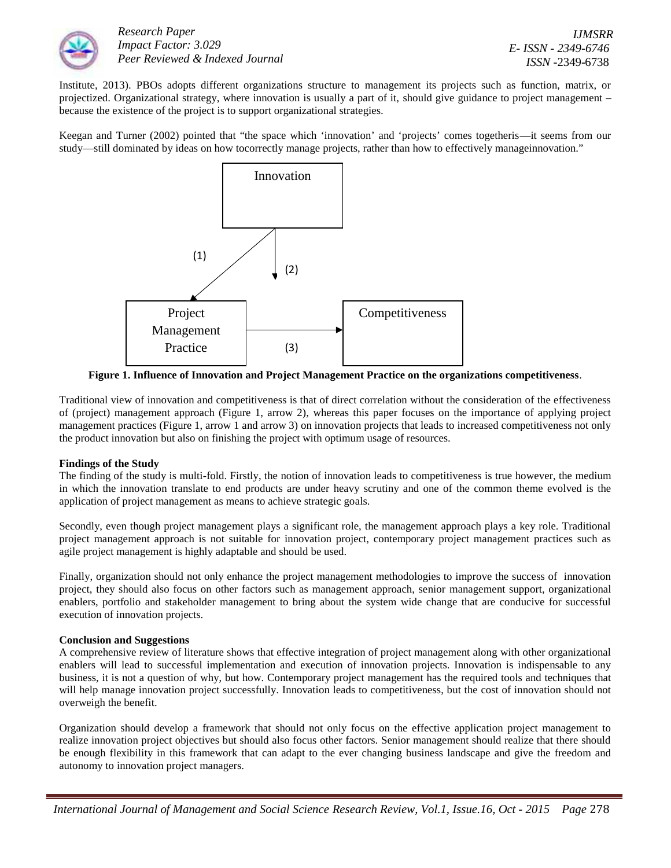

Institute, 2013). PBOs adopts different organizations structure to management its projects such as function, matrix, or projectized. Organizational strategy, where innovation is usually a part of it, should give guidance to project management – because the existence of the project is to support organizational strategies.

Keegan and Turner (2002) pointed that "the space which 'innovation' and 'projects' comes togetheris—it seems from our study—still dominated by ideas on how tocorrectly manage projects, rather than how to effectively manageinnovation."



**Figure 1. Influence of Innovation and Project Management Practice on the organizations competitiveness**.

Traditional view of innovation and competitiveness is that of direct correlation without the consideration of the effectiveness of (project) management approach (Figure 1, arrow 2), whereas this paper focuses on the importance of applying project management practices (Figure 1, arrow 1 and arrow 3) on innovation projects that leads to increased competitiveness not only the product innovation but also on finishing the project with optimum usage of resources.

# **Findings of the Study**

The finding of the study is multi-fold. Firstly, the notion of innovation leads to competitiveness is true however, the medium in which the innovation translate to end products are under heavy scrutiny and one of the common theme evolved is the application of project management as means to achieve strategic goals.

Secondly, even though project management plays a significant role, the management approach plays a key role. Traditional project management approach is not suitable for innovation project, contemporary project management practices such as agile project management is highly adaptable and should be used.

Finally, organization should not only enhance the project management methodologies to improve the success of innovation project, they should also focus on other factors such as management approach, senior management support, organizational enablers, portfolio and stakeholder management to bring about the system wide change that are conducive for successful execution of innovation projects.

# **Conclusion and Suggestions**

A comprehensive review of literature shows that effective integration of project management along with other organizational enablers will lead to successful implementation and execution of innovation projects. Innovation is indispensable to any business, it is not a question of why, but how. Contemporary project management has the required tools and techniques that will help manage innovation project successfully. Innovation leads to competitiveness, but the cost of innovation should not overweigh the benefit.

Organization should develop a framework that should not only focus on the effective application project management to realize innovation project objectives but should also focus other factors. Senior management should realize that there should be enough flexibility in this framework that can adapt to the ever changing business landscape and give the freedom and autonomy to innovation project managers.

*International Journal of Management and Social Science Research Review, Vol.1, Issue.16, Oct - 2015 Page* 278